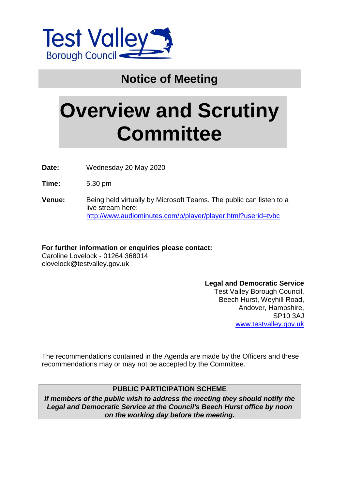

## **Notice of Meeting**

# **Overview and Scrutiny Committee**

**Date:** Wednesday 20 May 2020

**Time:** 5.30 pm

**Venue:** Being held virtually by Microsoft Teams. The public can listen to a live stream here: <http://www.audiominutes.com/p/player/player.html?userid=tvbc>

**For further information or enquiries please contact:** Caroline Lovelock - 01264 368014 clovelock@testvalley.gov.uk

> **Legal and Democratic Service** Test Valley Borough Council, Beech Hurst, Weyhill Road, Andover, Hampshire, SP10 3AJ [www.testvalley.gov.uk](http://www.testvalley.gov.uk/)

The recommendations contained in the Agenda are made by the Officers and these recommendations may or may not be accepted by the Committee.

#### **PUBLIC PARTICIPATION SCHEME**

*If members of the public wish to address the meeting they should notify the Legal and Democratic Service at the Council's Beech Hurst office by noon on the working day before the meeting.*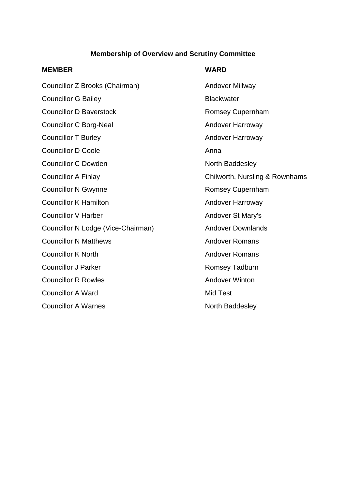#### **Membership of Overview and Scrutiny Committee**

#### **MEMBER WARD**

| Councillor Z Brooks (Chairman)     | Andover Millway        |
|------------------------------------|------------------------|
| <b>Councillor G Bailey</b>         | <b>Blackwater</b>      |
| <b>Councillor D Baverstock</b>     | <b>Romsey Cupernh</b>  |
| <b>Councillor C Borg-Neal</b>      | <b>Andover Harrowa</b> |
| <b>Councillor T Burley</b>         | <b>Andover Harrowa</b> |
| <b>Councillor D Coole</b>          | Anna                   |
| <b>Councillor C Dowden</b>         | North Baddesley        |
| <b>Councillor A Finlay</b>         | Chilworth, Nurslir     |
| <b>Councillor N Gwynne</b>         | <b>Romsey Cupernh</b>  |
| <b>Councillor K Hamilton</b>       | <b>Andover Harrowa</b> |
| <b>Councillor V Harber</b>         | Andover St Mary'       |
| Councillor N Lodge (Vice-Chairman) | <b>Andover Downlar</b> |
| <b>Councillor N Matthews</b>       | <b>Andover Romans</b>  |
| <b>Councillor K North</b>          | <b>Andover Romans</b>  |
| <b>Councillor J Parker</b>         | <b>Romsey Tadburn</b>  |
| <b>Councillor R Rowles</b>         | <b>Andover Winton</b>  |
| <b>Councillor A Ward</b>           | <b>Mid Test</b>        |
| <b>Councillor A Warnes</b>         | North Baddesley        |

Andover Millway **Blackwater** Romsey Cupernham Andover Harroway Andover Harroway North Baddesley Chilworth, Nursling & Rownhams Romsey Cupernham Andover Harroway Andover St Mary's Andover Downlands Andover Romans Andover Romans Romsey Tadburn **Andover Winton** Mid Test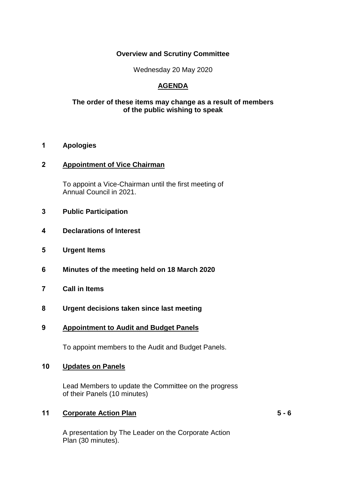#### **Overview and Scrutiny Committee**

Wednesday 20 May 2020

### **AGENDA**

#### **The order of these items may change as a result of members of the public wishing to speak**

#### **1 Apologies**

#### **2 Appointment of Vice Chairman**

To appoint a Vice-Chairman until the first meeting of Annual Council in 2021.

- **3 Public Participation**
- **4 Declarations of Interest**
- **5 Urgent Items**
- **6 Minutes of the meeting held on 18 March 2020**
- **7 Call in Items**
- **8 Urgent decisions taken since last meeting**
- **9 Appointment to Audit and Budget Panels**

To appoint members to the Audit and Budget Panels.

#### **10 Updates on Panels**

Lead Members to update the Committee on the progress of their Panels (10 minutes)

#### **11 Corporate Action Plan 5 - 6**

A presentation by The Leader on the Corporate Action Plan (30 minutes).